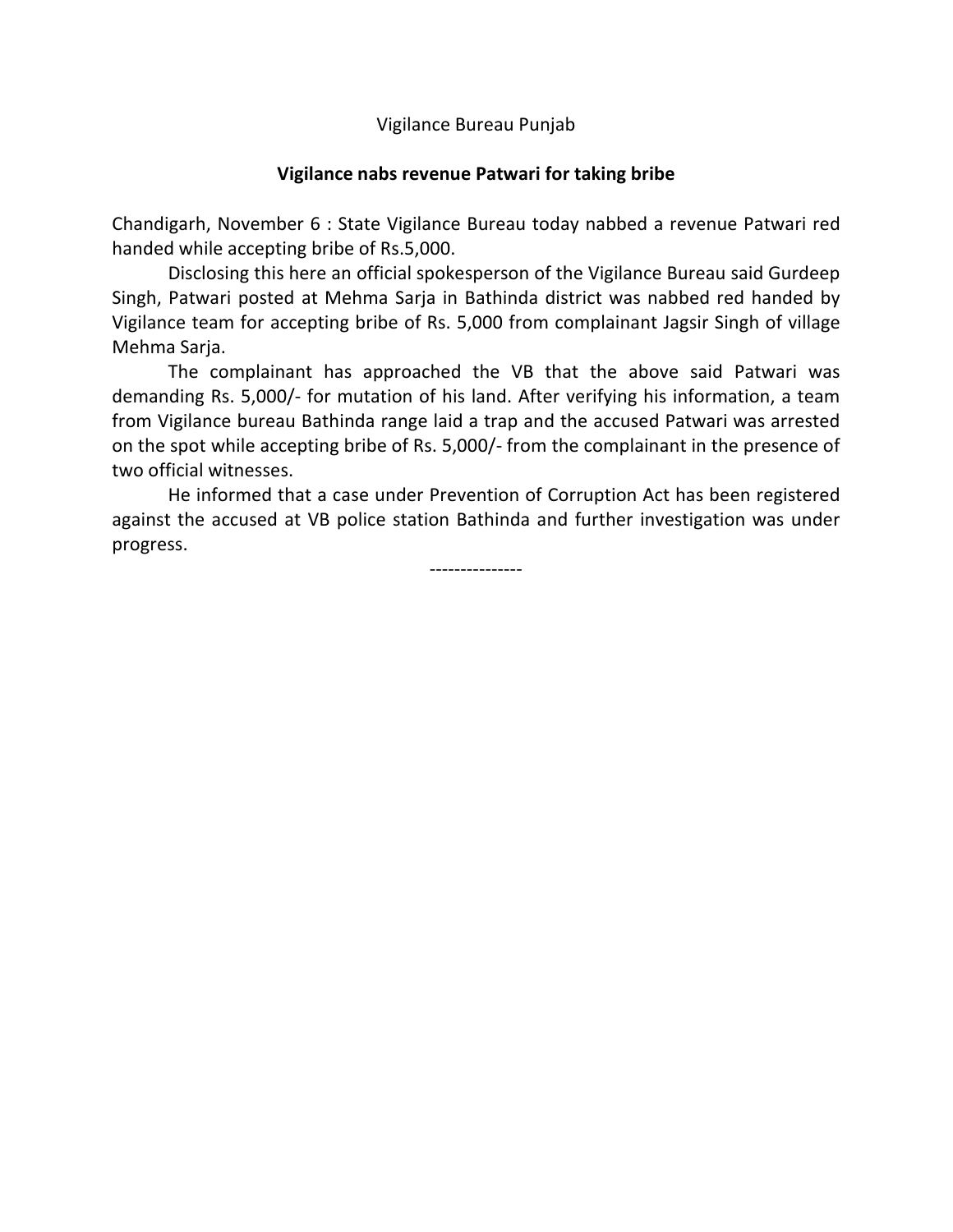Vigilance Bureau Punjab

## **Vigilance nabs revenue Patwari for taking bribe**

Chandigarh, November 6 : State Vigilance Bureau today nabbed a revenue Patwari red handed while accepting bribe of Rs.5,000.

Disclosing this here an official spokesperson of the Vigilance Bureau said Gurdeep Singh, Patwari posted at Mehma Sarja in Bathinda district was nabbed red handed by Vigilance team for accepting bribe of Rs. 5,000 from complainant Jagsir Singh of village Mehma Sarja.

The complainant has approached the VB that the above said Patwari was demanding Rs. 5,000/- for mutation of his land. After verifying his information, a team from Vigilance bureau Bathinda range laid a trap and the accused Patwari was arrested on the spot while accepting bribe of Rs. 5,000/- from the complainant in the presence of two official witnesses.

He informed that a case under Prevention of Corruption Act has been registered against the accused at VB police station Bathinda and further investigation was under progress.

---------------